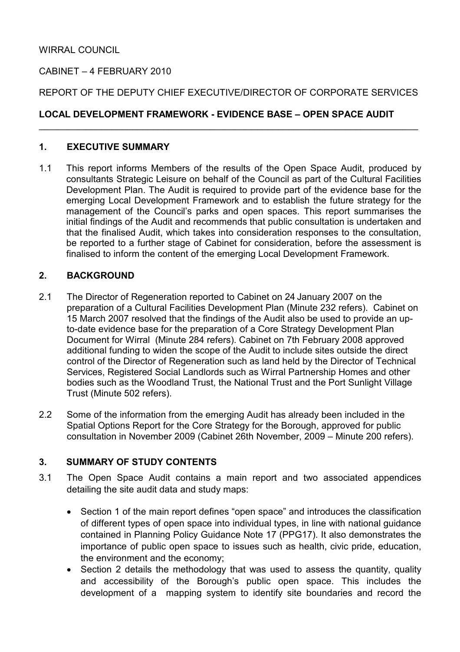## CABINET – 4 FEBRUARY 2010

#### REPORT OF THE DEPUTY CHIEF EXECUTIVE/DIRECTOR OF CORPORATE SERVICES

\_\_\_\_\_\_\_\_\_\_\_\_\_\_\_\_\_\_\_\_\_\_\_\_\_\_\_\_\_\_\_\_\_\_\_\_\_\_\_\_\_\_\_\_\_\_\_\_\_\_\_\_\_\_\_\_\_\_\_\_\_\_\_\_\_\_\_\_\_\_\_\_\_

## LOCAL DEVELOPMENT FRAMEWORK - EVIDENCE BASE – OPEN SPACE AUDIT

#### 1. EXECUTIVE SUMMARY

1.1 This report informs Members of the results of the Open Space Audit, produced by consultants Strategic Leisure on behalf of the Council as part of the Cultural Facilities Development Plan. The Audit is required to provide part of the evidence base for the emerging Local Development Framework and to establish the future strategy for the management of the Council's parks and open spaces. This report summarises the initial findings of the Audit and recommends that public consultation is undertaken and that the finalised Audit, which takes into consideration responses to the consultation, be reported to a further stage of Cabinet for consideration, before the assessment is finalised to inform the content of the emerging Local Development Framework.

#### 2. BACKGROUND

- 2.1 The Director of Regeneration reported to Cabinet on 24 January 2007 on the preparation of a Cultural Facilities Development Plan (Minute 232 refers). Cabinet on 15 March 2007 resolved that the findings of the Audit also be used to provide an upto-date evidence base for the preparation of a Core Strategy Development Plan Document for Wirral (Minute 284 refers). Cabinet on 7th February 2008 approved additional funding to widen the scope of the Audit to include sites outside the direct control of the Director of Regeneration such as land held by the Director of Technical Services, Registered Social Landlords such as Wirral Partnership Homes and other bodies such as the Woodland Trust, the National Trust and the Port Sunlight Village Trust (Minute 502 refers).
- 2.2 Some of the information from the emerging Audit has already been included in the Spatial Options Report for the Core Strategy for the Borough, approved for public consultation in November 2009 (Cabinet 26th November, 2009 – Minute 200 refers).

## 3. SUMMARY OF STUDY CONTENTS

- 3.1 The Open Space Audit contains a main report and two associated appendices detailing the site audit data and study maps:
	- Section 1 of the main report defines "open space" and introduces the classification of different types of open space into individual types, in line with national guidance contained in Planning Policy Guidance Note 17 (PPG17). It also demonstrates the importance of public open space to issues such as health, civic pride, education, the environment and the economy;
	- Section 2 details the methodology that was used to assess the quantity, quality and accessibility of the Borough's public open space. This includes the development of a mapping system to identify site boundaries and record the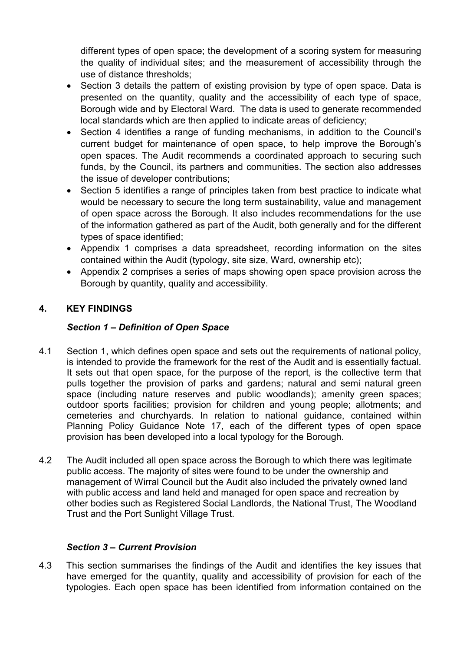different types of open space; the development of a scoring system for measuring the quality of individual sites; and the measurement of accessibility through the use of distance thresholds;

- Section 3 details the pattern of existing provision by type of open space. Data is presented on the quantity, quality and the accessibility of each type of space, Borough wide and by Electoral Ward. The data is used to generate recommended local standards which are then applied to indicate areas of deficiency;
- Section 4 identifies a range of funding mechanisms, in addition to the Council's current budget for maintenance of open space, to help improve the Borough's open spaces. The Audit recommends a coordinated approach to securing such funds, by the Council, its partners and communities. The section also addresses the issue of developer contributions;
- Section 5 identifies a range of principles taken from best practice to indicate what would be necessary to secure the long term sustainability, value and management of open space across the Borough. It also includes recommendations for the use of the information gathered as part of the Audit, both generally and for the different types of space identified;
- Appendix 1 comprises a data spreadsheet, recording information on the sites contained within the Audit (typology, site size, Ward, ownership etc);
- Appendix 2 comprises a series of maps showing open space provision across the Borough by quantity, quality and accessibility.

# 4. KEY FINDINGS

#### Section 1 – Definition of Open Space

- 4.1 Section 1, which defines open space and sets out the requirements of national policy, is intended to provide the framework for the rest of the Audit and is essentially factual. It sets out that open space, for the purpose of the report, is the collective term that pulls together the provision of parks and gardens; natural and semi natural green space (including nature reserves and public woodlands); amenity green spaces; outdoor sports facilities; provision for children and young people; allotments; and cemeteries and churchyards. In relation to national guidance, contained within Planning Policy Guidance Note 17, each of the different types of open space provision has been developed into a local typology for the Borough.
- 4.2 The Audit included all open space across the Borough to which there was legitimate public access. The majority of sites were found to be under the ownership and management of Wirral Council but the Audit also included the privately owned land with public access and land held and managed for open space and recreation by other bodies such as Registered Social Landlords, the National Trust, The Woodland Trust and the Port Sunlight Village Trust.

#### Section 3 – Current Provision

4.3 This section summarises the findings of the Audit and identifies the key issues that have emerged for the quantity, quality and accessibility of provision for each of the typologies. Each open space has been identified from information contained on the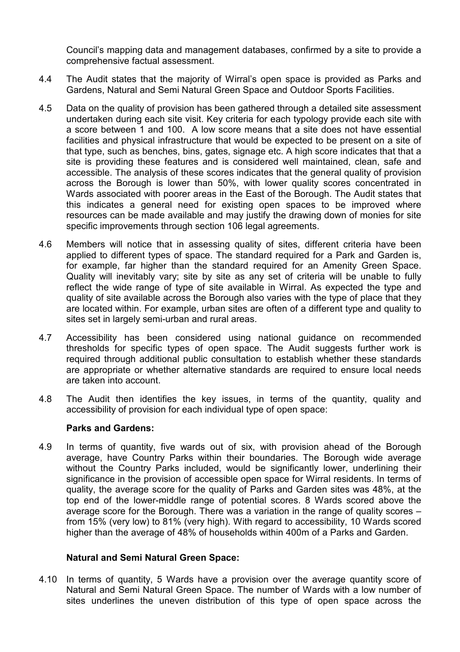Council's mapping data and management databases, confirmed by a site to provide a comprehensive factual assessment.

- 4.4 The Audit states that the majority of Wirral's open space is provided as Parks and Gardens, Natural and Semi Natural Green Space and Outdoor Sports Facilities.
- 4.5 Data on the quality of provision has been gathered through a detailed site assessment undertaken during each site visit. Key criteria for each typology provide each site with a score between 1 and 100. A low score means that a site does not have essential facilities and physical infrastructure that would be expected to be present on a site of that type, such as benches, bins, gates, signage etc. A high score indicates that that a site is providing these features and is considered well maintained, clean, safe and accessible. The analysis of these scores indicates that the general quality of provision across the Borough is lower than 50%, with lower quality scores concentrated in Wards associated with poorer areas in the East of the Borough. The Audit states that this indicates a general need for existing open spaces to be improved where resources can be made available and may justify the drawing down of monies for site specific improvements through section 106 legal agreements.
- 4.6 Members will notice that in assessing quality of sites, different criteria have been applied to different types of space. The standard required for a Park and Garden is, for example, far higher than the standard required for an Amenity Green Space. Quality will inevitably vary; site by site as any set of criteria will be unable to fully reflect the wide range of type of site available in Wirral. As expected the type and quality of site available across the Borough also varies with the type of place that they are located within. For example, urban sites are often of a different type and quality to sites set in largely semi-urban and rural areas.
- 4.7 Accessibility has been considered using national guidance on recommended thresholds for specific types of open space. The Audit suggests further work is required through additional public consultation to establish whether these standards are appropriate or whether alternative standards are required to ensure local needs are taken into account.
- 4.8 The Audit then identifies the key issues, in terms of the quantity, quality and accessibility of provision for each individual type of open space:

#### Parks and Gardens:

4.9 In terms of quantity, five wards out of six, with provision ahead of the Borough average, have Country Parks within their boundaries. The Borough wide average without the Country Parks included, would be significantly lower, underlining their significance in the provision of accessible open space for Wirral residents. In terms of quality, the average score for the quality of Parks and Garden sites was 48%, at the top end of the lower-middle range of potential scores. 8 Wards scored above the average score for the Borough. There was a variation in the range of quality scores – from 15% (very low) to 81% (very high). With regard to accessibility, 10 Wards scored higher than the average of 48% of households within 400m of a Parks and Garden.

#### Natural and Semi Natural Green Space:

4.10 In terms of quantity, 5 Wards have a provision over the average quantity score of Natural and Semi Natural Green Space. The number of Wards with a low number of sites underlines the uneven distribution of this type of open space across the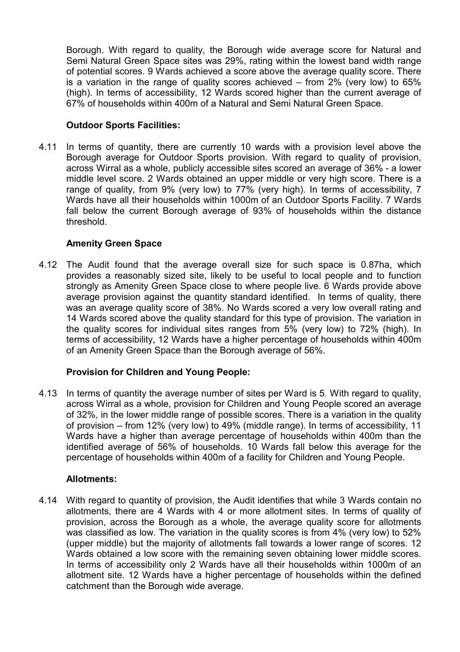Borough. With regard to quality, the Borough wide average score for Natural and Semi Natural Green Space sites was 29%, rating within the lowest band width range of potential scores. 9 Wards achieved a score above the average quality score. There is a variation in the range of quality scores achieved – from 2% (very low) to 65% (high). In terms of accessibility, 12 Wards scored higher than the current average of 67% of households within 400m of a Natural and Semi Natural Green Space.

#### Outdoor Sports Facilities:

4.11 In terms of quantity, there are currently 10 wards with a provision level above the Borough average for Outdoor Sports provision. With regard to quality of provision, across Wirral as a whole, publicly accessible sites scored an average of 36% - a lower middle level score. 2 Wards obtained an upper middle or very high score. There is a range of quality, from 9% (very low) to 77% (very high). In terms of accessibility, 7 Wards have all their households within 1000m of an Outdoor Sports Facility. 7 Wards fall below the current Borough average of 93% of households within the distance threshold.

## Amenity Green Space

4.12 The Audit found that the average overall size for such space is 0.87ha, which provides a reasonably sized site, likely to be useful to local people and to function strongly as Amenity Green Space close to where people live. 6 Wards provide above average provision against the quantity standard identified. In terms of quality, there was an average quality score of 38%. No Wards scored a very low overall rating and 14 Wards scored above the quality standard for this type of provision. The variation in the quality scores for individual sites ranges from 5% (very low) to 72% (high). In terms of accessibility, 12 Wards have a higher percentage of households within 400m of an Amenity Green Space than the Borough average of 56%.

## Provision for Children and Young People:

4.13 In terms of quantity the average number of sites per Ward is 5. With regard to quality, across Wirral as a whole, provision for Children and Young People scored an average of 32%, in the lower middle range of possible scores. There is a variation in the quality of provision – from 12% (very low) to 49% (middle range). In terms of accessibility, 11 Wards have a higher than average percentage of households within 400m than the identified average of 56% of households. 10 Wards fall below this average for the percentage of households within 400m of a facility for Children and Young People.

#### Allotments:

4.14 With regard to quantity of provision, the Audit identifies that while 3 Wards contain no allotments, there are 4 Wards with 4 or more allotment sites. In terms of quality of provision, across the Borough as a whole, the average quality score for allotments was classified as low. The variation in the quality scores is from 4% (very low) to 52% (upper middle) but the majority of allotments fall towards a lower range of scores. 12 Wards obtained a low score with the remaining seven obtaining lower middle scores. In terms of accessibility only 2 Wards have all their households within 1000m of an allotment site. 12 Wards have a higher percentage of households within the defined catchment than the Borough wide average.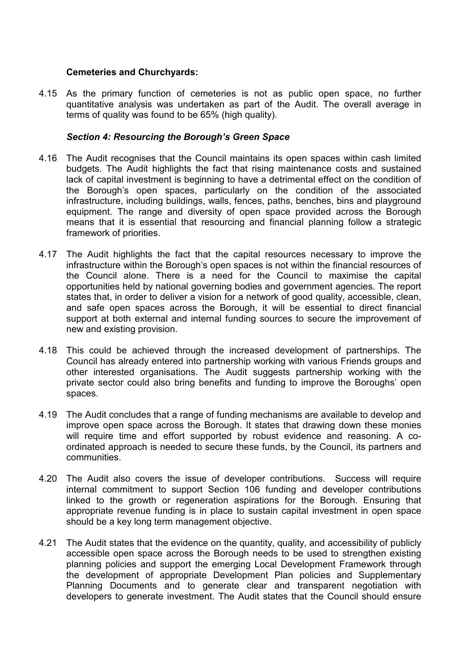#### Cemeteries and Churchyards:

4.15 As the primary function of cemeteries is not as public open space, no further quantitative analysis was undertaken as part of the Audit. The overall average in terms of quality was found to be 65% (high quality).

#### Section 4: Resourcing the Borough's Green Space

- 4.16 The Audit recognises that the Council maintains its open spaces within cash limited budgets. The Audit highlights the fact that rising maintenance costs and sustained lack of capital investment is beginning to have a detrimental effect on the condition of the Borough's open spaces, particularly on the condition of the associated infrastructure, including buildings, walls, fences, paths, benches, bins and playground equipment. The range and diversity of open space provided across the Borough means that it is essential that resourcing and financial planning follow a strategic framework of priorities.
- 4.17 The Audit highlights the fact that the capital resources necessary to improve the infrastructure within the Borough's open spaces is not within the financial resources of the Council alone. There is a need for the Council to maximise the capital opportunities held by national governing bodies and government agencies. The report states that, in order to deliver a vision for a network of good quality, accessible, clean, and safe open spaces across the Borough, it will be essential to direct financial support at both external and internal funding sources to secure the improvement of new and existing provision.
- 4.18 This could be achieved through the increased development of partnerships. The Council has already entered into partnership working with various Friends groups and other interested organisations. The Audit suggests partnership working with the private sector could also bring benefits and funding to improve the Boroughs' open spaces.
- 4.19 The Audit concludes that a range of funding mechanisms are available to develop and improve open space across the Borough. It states that drawing down these monies will require time and effort supported by robust evidence and reasoning. A coordinated approach is needed to secure these funds, by the Council, its partners and communities.
- 4.20 The Audit also covers the issue of developer contributions. Success will require internal commitment to support Section 106 funding and developer contributions linked to the growth or regeneration aspirations for the Borough. Ensuring that appropriate revenue funding is in place to sustain capital investment in open space should be a key long term management objective.
- 4.21 The Audit states that the evidence on the quantity, quality, and accessibility of publicly accessible open space across the Borough needs to be used to strengthen existing planning policies and support the emerging Local Development Framework through the development of appropriate Development Plan policies and Supplementary Planning Documents and to generate clear and transparent negotiation with developers to generate investment. The Audit states that the Council should ensure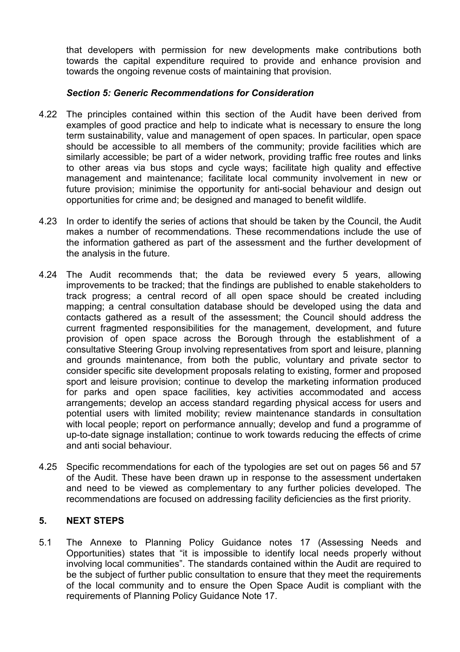that developers with permission for new developments make contributions both towards the capital expenditure required to provide and enhance provision and towards the ongoing revenue costs of maintaining that provision.

#### Section 5: Generic Recommendations for Consideration

- 4.22 The principles contained within this section of the Audit have been derived from examples of good practice and help to indicate what is necessary to ensure the long term sustainability, value and management of open spaces. In particular, open space should be accessible to all members of the community; provide facilities which are similarly accessible; be part of a wider network, providing traffic free routes and links to other areas via bus stops and cycle ways; facilitate high quality and effective management and maintenance; facilitate local community involvement in new or future provision; minimise the opportunity for anti-social behaviour and design out opportunities for crime and; be designed and managed to benefit wildlife.
- 4.23 In order to identify the series of actions that should be taken by the Council, the Audit makes a number of recommendations. These recommendations include the use of the information gathered as part of the assessment and the further development of the analysis in the future.
- 4.24 The Audit recommends that; the data be reviewed every 5 years, allowing improvements to be tracked; that the findings are published to enable stakeholders to track progress; a central record of all open space should be created including mapping; a central consultation database should be developed using the data and contacts gathered as a result of the assessment; the Council should address the current fragmented responsibilities for the management, development, and future provision of open space across the Borough through the establishment of a consultative Steering Group involving representatives from sport and leisure, planning and grounds maintenance, from both the public, voluntary and private sector to consider specific site development proposals relating to existing, former and proposed sport and leisure provision; continue to develop the marketing information produced for parks and open space facilities, key activities accommodated and access arrangements; develop an access standard regarding physical access for users and potential users with limited mobility; review maintenance standards in consultation with local people; report on performance annually; develop and fund a programme of up-to-date signage installation; continue to work towards reducing the effects of crime and anti social behaviour.
- 4.25 Specific recommendations for each of the typologies are set out on pages 56 and 57 of the Audit. These have been drawn up in response to the assessment undertaken and need to be viewed as complementary to any further policies developed. The recommendations are focused on addressing facility deficiencies as the first priority.

## 5. NEXT STEPS

5.1 The Annexe to Planning Policy Guidance notes 17 (Assessing Needs and Opportunities) states that "it is impossible to identify local needs properly without involving local communities". The standards contained within the Audit are required to be the subject of further public consultation to ensure that they meet the requirements of the local community and to ensure the Open Space Audit is compliant with the requirements of Planning Policy Guidance Note 17.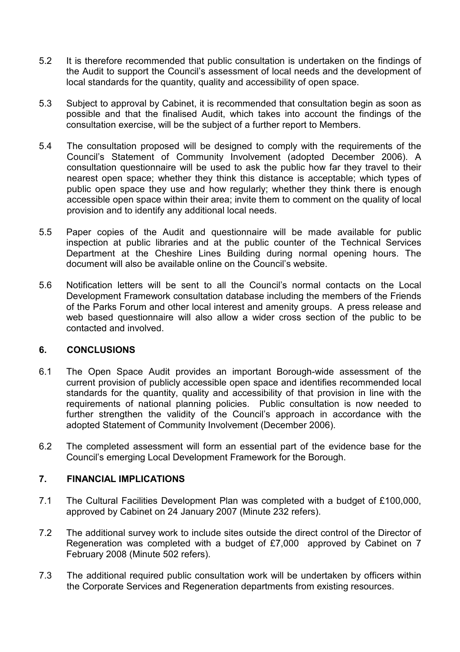- 5.2 It is therefore recommended that public consultation is undertaken on the findings of the Audit to support the Council's assessment of local needs and the development of local standards for the quantity, quality and accessibility of open space.
- 5.3 Subject to approval by Cabinet, it is recommended that consultation begin as soon as possible and that the finalised Audit, which takes into account the findings of the consultation exercise, will be the subject of a further report to Members.
- 5.4 The consultation proposed will be designed to comply with the requirements of the Council's Statement of Community Involvement (adopted December 2006). A consultation questionnaire will be used to ask the public how far they travel to their nearest open space; whether they think this distance is acceptable; which types of public open space they use and how regularly; whether they think there is enough accessible open space within their area; invite them to comment on the quality of local provision and to identify any additional local needs.
- 5.5 Paper copies of the Audit and questionnaire will be made available for public inspection at public libraries and at the public counter of the Technical Services Department at the Cheshire Lines Building during normal opening hours. The document will also be available online on the Council's website.
- 5.6 Notification letters will be sent to all the Council's normal contacts on the Local Development Framework consultation database including the members of the Friends of the Parks Forum and other local interest and amenity groups. A press release and web based questionnaire will also allow a wider cross section of the public to be contacted and involved.

## 6. CONCLUSIONS

- 6.1 The Open Space Audit provides an important Borough-wide assessment of the current provision of publicly accessible open space and identifies recommended local standards for the quantity, quality and accessibility of that provision in line with the requirements of national planning policies. Public consultation is now needed to further strengthen the validity of the Council's approach in accordance with the adopted Statement of Community Involvement (December 2006).
- 6.2 The completed assessment will form an essential part of the evidence base for the Council's emerging Local Development Framework for the Borough.

## 7. FINANCIAL IMPLICATIONS

- 7.1 The Cultural Facilities Development Plan was completed with a budget of £100,000, approved by Cabinet on 24 January 2007 (Minute 232 refers).
- 7.2 The additional survey work to include sites outside the direct control of the Director of Regeneration was completed with a budget of £7,000 approved by Cabinet on 7 February 2008 (Minute 502 refers).
- 7.3 The additional required public consultation work will be undertaken by officers within the Corporate Services and Regeneration departments from existing resources.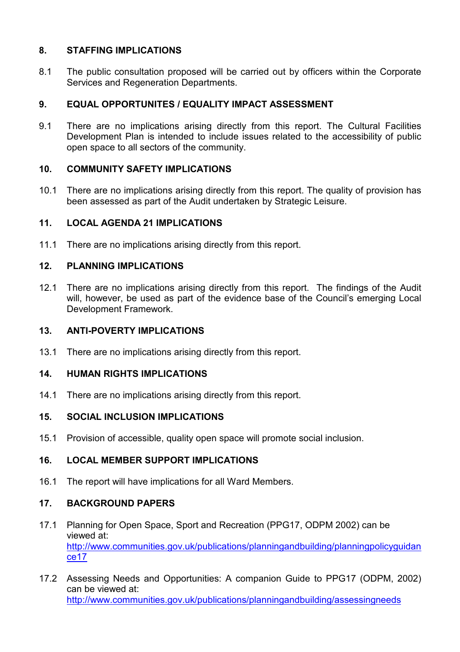## 8. STAFFING IMPLICATIONS

8.1 The public consultation proposed will be carried out by officers within the Corporate Services and Regeneration Departments.

# 9. EQUAL OPPORTUNITES / EQUALITY IMPACT ASSESSMENT

9.1 There are no implications arising directly from this report. The Cultural Facilities Development Plan is intended to include issues related to the accessibility of public open space to all sectors of the community.

## 10. COMMUNITY SAFETY IMPLICATIONS

10.1 There are no implications arising directly from this report. The quality of provision has been assessed as part of the Audit undertaken by Strategic Leisure.

# 11. LOCAL AGENDA 21 IMPLICATIONS

11.1 There are no implications arising directly from this report.

# 12. PLANNING IMPLICATIONS

12.1 There are no implications arising directly from this report. The findings of the Audit will, however, be used as part of the evidence base of the Council's emerging Local Development Framework.

## 13. ANTI-POVERTY IMPLICATIONS

13.1 There are no implications arising directly from this report.

# 14. HUMAN RIGHTS IMPLICATIONS

14.1 There are no implications arising directly from this report.

## 15. SOCIAL INCLUSION IMPLICATIONS

15.1 Provision of accessible, quality open space will promote social inclusion.

# 16. LOCAL MEMBER SUPPORT IMPLICATIONS

16.1 The report will have implications for all Ward Members.

## 17. BACKGROUND PAPERS

- 17.1 Planning for Open Space, Sport and Recreation (PPG17, ODPM 2002) can be viewed at: http://www.communities.gov.uk/publications/planningandbuilding/planningpolicyguidan ce17
- 17.2 Assessing Needs and Opportunities: A companion Guide to PPG17 (ODPM, 2002) can be viewed at: http://www.communities.gov.uk/publications/planningandbuilding/assessingneeds